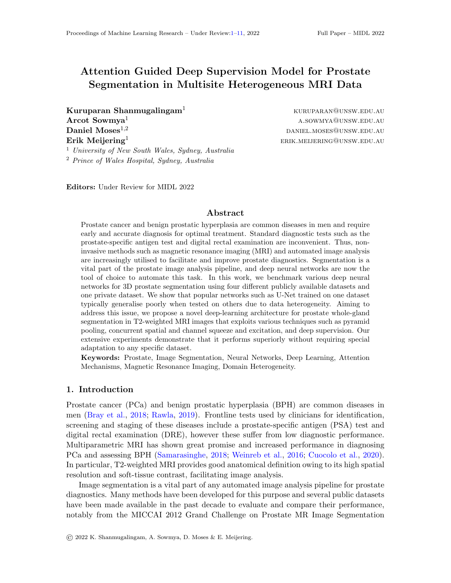# <span id="page-0-0"></span>Attention Guided Deep Supervision Model for Prostate Segmentation in Multisite Heterogeneous MRI Data

**Kuruparan Shanmugalingam**<sup>1</sup> kuruparan@unsw.edu.au Arcot Sowmya<sup>1</sup> a.sowmya<sup>1</sup> a.sowmya<sup>1</sup> a.sowmyan@unsw.edu.au **Daniel Moses**<sup>1,2</sup> daniel moses and  $\alpha$  daniel.moses@unsw.edu.au  $\textbf{Erik}\ \textbf{Meijering}^1$  erik.meijering@unsw.edu.au

<sup>1</sup> University of New South Wales, Sydney, Australia <sup>2</sup> Prince of Wales Hospital, Sydney, Australia

Editors: Under Review for MIDL 2022

## Abstract

Prostate cancer and benign prostatic hyperplasia are common diseases in men and require early and accurate diagnosis for optimal treatment. Standard diagnostic tests such as the prostate-specific antigen test and digital rectal examination are inconvenient. Thus, noninvasive methods such as magnetic resonance imaging (MRI) and automated image analysis are increasingly utilised to facilitate and improve prostate diagnostics. Segmentation is a vital part of the prostate image analysis pipeline, and deep neural networks are now the tool of choice to automate this task. In this work, we benchmark various deep neural networks for 3D prostate segmentation using four different publicly available datasets and one private dataset. We show that popular networks such as U-Net trained on one dataset typically generalise poorly when tested on others due to data heterogeneity. Aiming to address this issue, we propose a novel deep-learning architecture for prostate whole-gland segmentation in T2-weighted MRI images that exploits various techniques such as pyramid pooling, concurrent spatial and channel squeeze and excitation, and deep supervision. Our extensive experiments demonstrate that it performs superiorly without requiring special adaptation to any specific dataset.

Keywords: Prostate, Image Segmentation, Neural Networks, Deep Learning, Attention Mechanisms, Magnetic Resonance Imaging, Domain Heterogeneity.

# 1. Introduction

Prostate cancer (PCa) and benign prostatic hyperplasia (BPH) are common diseases in men [\(Bray et al.,](#page-8-0) [2018;](#page-8-0) [Rawla,](#page-10-1) [2019\)](#page-10-1). Frontline tests used by clinicians for identification, screening and staging of these diseases include a prostate-specific antigen (PSA) test and digital rectal examination (DRE), however these suffer from low diagnostic performance. Multiparametric MRI has shown great promise and increased performance in diagnosing PCa and assessing BPH [\(Samarasinghe,](#page-10-2) [2018;](#page-10-2) [Weinreb et al.,](#page-10-3) [2016;](#page-10-3) [Cuocolo et al.,](#page-8-1) [2020\)](#page-8-1). In particular, T2-weighted MRI provides good anatomical definition owing to its high spatial resolution and soft-tissue contrast, facilitating image analysis.

Image segmentation is a vital part of any automated image analysis pipeline for prostate diagnostics. Many methods have been developed for this purpose and several public datasets have been made available in the past decade to evaluate and compare their performance, notably from the MICCAI 2012 Grand Challenge on Prostate MR Image Segmentation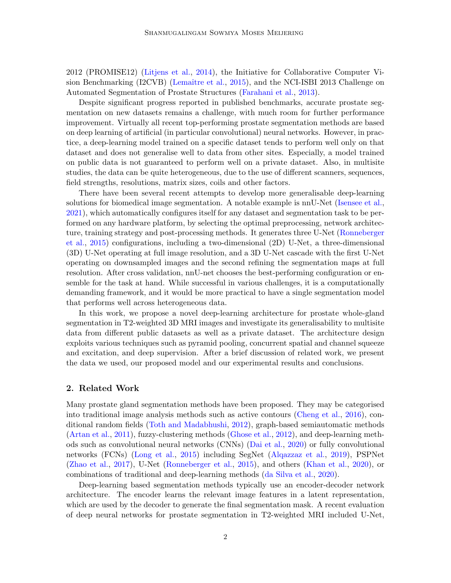2012 (PROMISE12) [\(Litjens et al.,](#page-9-0) [2014\)](#page-9-0), the Initiative for Collaborative Computer Vi-sion Benchmarking (I2CVB) (Lemaître et al., [2015\)](#page-9-1), and the NCI-ISBI 2013 Challenge on Automated Segmentation of Prostate Structures [\(Farahani et al.,](#page-9-2) [2013\)](#page-9-2).

Despite significant progress reported in published benchmarks, accurate prostate segmentation on new datasets remains a challenge, with much room for further performance improvement. Virtually all recent top-performing prostate segmentation methods are based on deep learning of artificial (in particular convolutional) neural networks. However, in practice, a deep-learning model trained on a specific dataset tends to perform well only on that dataset and does not generalise well to data from other sites. Especially, a model trained on public data is not guaranteed to perform well on a private dataset. Also, in multisite studies, the data can be quite heterogeneous, due to the use of different scanners, sequences, field strengths, resolutions, matrix sizes, coils and other factors.

There have been several recent attempts to develop more generalisable deep-learning solutions for biomedical image segmentation. A notable example is nnU-Net [\(Isensee et al.,](#page-9-3) [2021\)](#page-9-3), which automatically configures itself for any dataset and segmentation task to be performed on any hardware platform, by selecting the optimal preprocessing, network architecture, training strategy and post-processing methods. It generates three U-Net [\(Ronneberger](#page-10-4) [et al.,](#page-10-4) [2015\)](#page-10-4) configurations, including a two-dimensional (2D) U-Net, a three-dimensional (3D) U-Net operating at full image resolution, and a 3D U-Net cascade with the first U-Net operating on downsampled images and the second refining the segmentation maps at full resolution. After cross validation, nnU-net chooses the best-performing configuration or ensemble for the task at hand. While successful in various challenges, it is a computationally demanding framework, and it would be more practical to have a single segmentation model that performs well across heterogeneous data.

In this work, we propose a novel deep-learning architecture for prostate whole-gland segmentation in T2-weighted 3D MRI images and investigate its generalisability to multisite data from different public datasets as well as a private dataset. The architecture design exploits various techniques such as pyramid pooling, concurrent spatial and channel squeeze and excitation, and deep supervision. After a brief discussion of related work, we present the data we used, our proposed model and our experimental results and conclusions.

# 2. Related Work

Many prostate gland segmentation methods have been proposed. They may be categorised into traditional image analysis methods such as active contours [\(Cheng et al.,](#page-8-2) [2016\)](#page-8-2), conditional random fields [\(Toth and Madabhushi,](#page-10-5) [2012\)](#page-10-5), graph-based semiautomatic methods [\(Artan et al.,](#page-8-3) [2011\)](#page-8-3), fuzzy-clustering methods [\(Ghose et al.,](#page-9-4) [2012\)](#page-9-4), and deep-learning methods such as convolutional neural networks (CNNs) [\(Dai et al.,](#page-8-4) [2020\)](#page-8-4) or fully convolutional networks (FCNs) [\(Long et al.,](#page-9-5) [2015\)](#page-9-5) including SegNet [\(Alqazzaz et al.,](#page-8-5) [2019\)](#page-8-5), PSPNet [\(Zhao et al.,](#page-10-6) [2017\)](#page-10-6), U-Net [\(Ronneberger et al.,](#page-10-4) [2015\)](#page-10-4), and others [\(Khan et al.,](#page-9-6) [2020\)](#page-9-6), or combinations of traditional and deep-learning methods [\(da Silva et al.,](#page-8-6) [2020\)](#page-8-6).

Deep-learning based segmentation methods typically use an encoder-decoder network architecture. The encoder learns the relevant image features in a latent representation, which are used by the decoder to generate the final segmentation mask. A recent evaluation of deep neural networks for prostate segmentation in T2-weighted MRI included U-Net,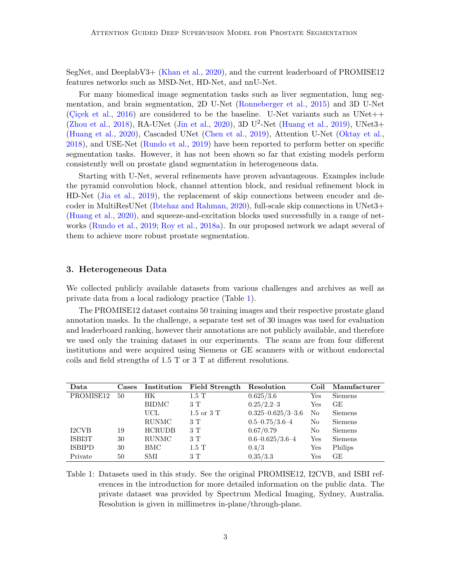SegNet, and DeeplabV3+ [\(Khan et al.,](#page-9-6) [2020\)](#page-9-6), and the current leaderboard of PROMISE12 features networks such as MSD-Net, HD-Net, and nnU-Net.

For many biomedical image segmentation tasks such as liver segmentation, lung segmentation, and brain segmentation, 2D U-Net [\(Ronneberger et al.,](#page-10-4) [2015\)](#page-10-4) and 3D U-Net (Cicek et al., [2016\)](#page-8-7) are considered to be the baseline. U-Net variants such as UNet++ [\(Zhou et al.,](#page-10-7) [2018\)](#page-10-7), RA-UNet [\(Jin et al.,](#page-9-7) [2020\)](#page-9-7), 3D U<sup>2</sup>-Net [\(Huang et al.,](#page-9-8) [2019\)](#page-9-8), UNet3+ [\(Huang et al.,](#page-9-9) [2020\)](#page-9-9), Cascaded UNet [\(Chen et al.,](#page-8-8) [2019\)](#page-8-8), Attention U-Net [\(Oktay et al.,](#page-9-10) [2018\)](#page-9-10), and USE-Net [\(Rundo et al.,](#page-10-8) [2019\)](#page-10-8) have been reported to perform better on specific segmentation tasks. However, it has not been shown so far that existing models perform consistently well on prostate gland segmentation in heterogeneous data.

Starting with U-Net, several refinements have proven advantageous. Examples include the pyramid convolution block, channel attention block, and residual refinement block in HD-Net [\(Jia et al.,](#page-9-11) [2019\)](#page-9-11), the replacement of skip connections between encoder and decoder in MultiResUNet [\(Ibtehaz and Rahman,](#page-9-12) [2020\)](#page-9-12), full-scale skip connections in UNet3+ [\(Huang et al.,](#page-9-9) [2020\)](#page-9-9), and squeeze-and-excitation blocks used successfully in a range of networks [\(Rundo et al.,](#page-10-8) [2019;](#page-10-8) [Roy et al.,](#page-10-9) [2018a\)](#page-10-9). In our proposed network we adapt several of them to achieve more robust prostate segmentation.

## 3. Heterogeneous Data

We collected publicly available datasets from various challenges and archives as well as private data from a local radiology practice (Table [1\)](#page-2-0).

The PROMISE12 dataset contains 50 training images and their respective prostate gland annotation masks. In the challenge, a separate test set of 30 images was used for evaluation and leaderboard ranking, however their annotations are not publicly available, and therefore we used only the training dataset in our experiments. The scans are from four different institutions and were acquired using Siemens or GE scanners with or without endorectal coils and field strengths of 1.5 T or 3 T at different resolutions.

| Data          | Cases |               | Institution Field Strength | Resolution                | Coil           | Manufacturer   |
|---------------|-------|---------------|----------------------------|---------------------------|----------------|----------------|
| PROMISE12     | 50    | HК            | $1.5\ {\rm T}$             | 0.625/3.6                 | $_{\rm Yes}$   | <b>Siemens</b> |
|               |       | <b>BIDMC</b>  | 3 T                        | $0.25/2.2 - 3$            | $_{\rm Yes}$   | GE             |
|               |       | UCL           | $1.5$ or $3T$              | $0.325 - 0.625 / 3 - 3.6$ | No             | <b>Siemens</b> |
|               |       | <b>RUNMC</b>  | 3 T                        | $0.5 - 0.75 / 3.6 - 4$    | N <sub>o</sub> | <b>Siemens</b> |
| I2CVB         | 19    | <b>HCRUDB</b> | 3T                         | 0.67/0.79                 | No             | <b>Siemens</b> |
| ISBI3T        | 30    | <b>RUNMC</b>  | 3T                         | $0.6 - 0.625/3.6 - 4$     | Yes            | <b>Siemens</b> |
| <b>ISBIPD</b> | 30    | BMC           | $1.5$ T                    | 0.4/3                     | Yes            | Philips        |
| Private       | 50    | SMI           | 3T                         | 0.35/3.3                  | Yes            | GE             |

<span id="page-2-0"></span>Table 1: Datasets used in this study. See the original PROMISE12, I2CVB, and ISBI references in the introduction for more detailed information on the public data. The private dataset was provided by Spectrum Medical Imaging, Sydney, Australia. Resolution is given in millimetres in-plane/through-plane.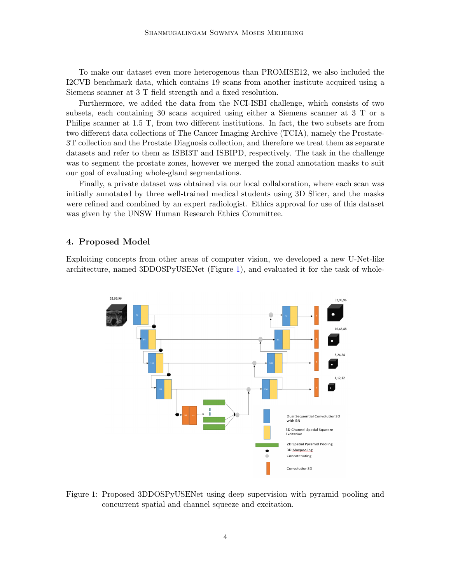To make our dataset even more heterogenous than PROMISE12, we also included the I2CVB benchmark data, which contains 19 scans from another institute acquired using a Siemens scanner at 3 T field strength and a fixed resolution.

Furthermore, we added the data from the NCI-ISBI challenge, which consists of two subsets, each containing 30 scans acquired using either a Siemens scanner at 3 T or a Philips scanner at 1.5 T, from two different institutions. In fact, the two subsets are from two different data collections of The Cancer Imaging Archive (TCIA), namely the Prostate-3T collection and the Prostate Diagnosis collection, and therefore we treat them as separate datasets and refer to them as ISBI3T and ISBIPD, respectively. The task in the challenge was to segment the prostate zones, however we merged the zonal annotation masks to suit our goal of evaluating whole-gland segmentations.

Finally, a private dataset was obtained via our local collaboration, where each scan was initially annotated by three well-trained medical students using 3D Slicer, and the masks were refined and combined by an expert radiologist. Ethics approval for use of this dataset was given by the UNSW Human Research Ethics Committee.

# 4. Proposed Model

Exploiting concepts from other areas of computer vision, we developed a new U-Net-like architecture, named 3DDOSPyUSENet (Figure [1\)](#page-3-0), and evaluated it for the task of whole-



<span id="page-3-0"></span>Figure 1: Proposed 3DDOSPyUSENet using deep supervision with pyramid pooling and concurrent spatial and channel squeeze and excitation.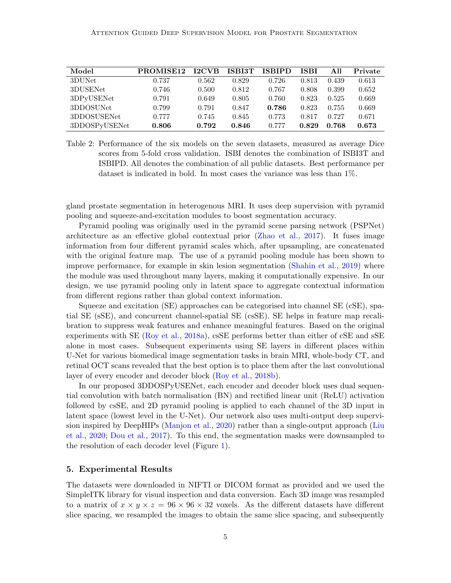#### Attention Guided Deep Supervision Model for Prostate Segmentation

| Model         | PROMISE <sub>12</sub> | <b>I2CVB</b> | ISBI3T | <b>ISBIPD</b> | <b>ISBI</b> | All   | Private |
|---------------|-----------------------|--------------|--------|---------------|-------------|-------|---------|
| 3DUNet        | 0.737                 | 0.562        | 0.829  | 0.726         | 0.813       | 0.439 | 0.613   |
| 3DUSENet      | 0.746                 | 0.500        | 0.812  | 0.767         | 0.808       | 0.399 | 0.652   |
| 3DPyUSENet    | 0.791                 | 0.649        | 0.805  | 0.760         | 0.823       | 0.525 | 0.669   |
| 3DDOSUNet     | 0.799                 | 0.791        | 0.847  | 0.786         | 0.823       | 0.755 | 0.669   |
| 3DDOSUSENet   | 0.777                 | 0.745        | 0.845  | 0.773         | 0.817       | 0.727 | 0.671   |
| 3DDOSPyUSENet | 0.806                 | 0.792        | 0.846  | 0.777         | 0.829       | 0.768 | 0.673   |

<span id="page-4-0"></span>Table 2: Performance of the six models on the seven datasets, measured as average Dice scores from 5-fold cross validation. ISBI denotes the combination of ISBI3T and ISBIPD. All denotes the combination of all public datasets. Best performance per dataset is indicated in bold. In most cases the variance was less than 1%.

gland prostate segmentation in heterogenous MRI. It uses deep supervision with pyramid pooling and squeeze-and-excitation modules to boost segmentation accuracy.

Pyramid pooling was originally used in the pyramid scene parsing network (PSPNet) architecture as an effective global contextual prior [\(Zhao et al.,](#page-10-6) [2017\)](#page-10-6). It fuses image information from four different pyramid scales which, after upsampling, are concatenated with the original feature map. The use of a pyramid pooling module has been shown to improve performance, for example in skin lesion segmentation [\(Shahin et al.,](#page-10-10) [2019\)](#page-10-10) where the module was used throughout many layers, making it computationally expensive. In our design, we use pyramid pooling only in latent space to aggregate contextual information from different regions rather than global context information.

Squeeze and excitation (SE) approaches can be categorised into channel SE (cSE), spatial SE (sSE), and concurrent channel-spatial SE (csSE). SE helps in feature map recalibration to suppress weak features and enhance meaningful features. Based on the original experiments with SE [\(Roy et al.,](#page-10-9) [2018a\)](#page-10-9), csSE performs better than either of cSE and sSE alone in most cases. Subsequent experiments using SE layers in different places within U-Net for various biomedical image segmentation tasks in brain MRI, whole-body CT, and retinal OCT scans revealed that the best option is to place them after the last convolutional layer of every encoder and decoder block [\(Roy et al.,](#page-10-11) [2018b\)](#page-10-11).

In our proposed 3DDOSPyUSENet, each encoder and decoder block uses dual sequential convolution with batch normalisation (BN) and rectified linear unit (ReLU) activation followed by csSE, and 2D pyramid pooling is applied to each channel of the 3D input in latent space (lowest level in the U-Net). Our network also uses multi-output deep supervision inspired by DeepHIPs [\(Manjon et al.,](#page-9-13) [2020\)](#page-9-13) rather than a single-output approach [\(Liu](#page-9-14) [et al.,](#page-9-14) [2020;](#page-9-14) [Dou et al.,](#page-8-9) [2017\)](#page-8-9). To this end, the segmentation masks were downsampled to the resolution of each decoder level (Figure [1\)](#page-3-0).

## 5. Experimental Results

The datasets were downloaded in NIFTI or DICOM format as provided and we used the SimpleITK library for visual inspection and data conversion. Each 3D image was resampled to a matrix of  $x \times y \times z = 96 \times 96 \times 32$  voxels. As the different datasets have different slice spacing, we resampled the images to obtain the same slice spacing, and subsequently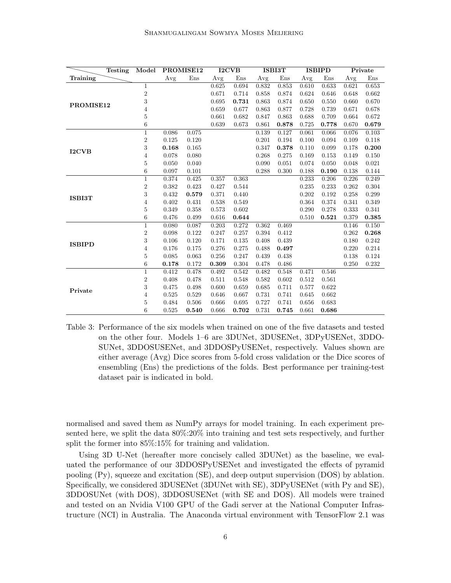| <b>Testing</b> | Model          | PROMISE12 |       | <b>I2CVB</b> |       | <b>ISBI3T</b> |       | <b>ISBIPD</b> |       | Private |           |
|----------------|----------------|-----------|-------|--------------|-------|---------------|-------|---------------|-------|---------|-----------|
| Training       |                | Avg       | Ens   | Avg          | Ens   | Avg           | Ens   | Avg           | Ens   | Avg     | Ens       |
|                | 1              |           |       | 0.625        | 0.694 | 0.832         | 0.853 | 0.610         | 0.633 | 0.621   | 0.653     |
|                | $\overline{2}$ |           |       | 0.671        | 0.714 | 0.858         | 0.874 | 0.624         | 0.646 | 0.648   | 0.662     |
| PROMISE12      | 3              |           |       | 0.695        | 0.731 | 0.863         | 0.874 | 0.650         | 0.550 | 0.660   | 0.670     |
|                | 4              |           |       | 0.659        | 0.677 | 0.863         | 0.877 | 0.728         | 0.739 | 0.671   | 0.678     |
|                | 5              |           |       | 0.661        | 0.682 | 0.847         | 0.863 | 0.688         | 0.709 | 0.664   | 0.672     |
|                | 6              |           |       | 0.639        | 0.673 | 0.861         | 0.878 | 0.725         | 0.778 | 0.670   | 0.679     |
|                | $\mathbf 1$    | 0.086     | 0.075 |              |       | 0.139         | 0.127 | 0.061         | 0.066 | 0.076   | 0.103     |
|                | $\overline{2}$ | 0.125     | 0.120 |              |       | 0.201         | 0.194 | 0.100         | 0.094 | 0.109   | 0.118     |
| <b>I2CVB</b>   | 3              | 0.168     | 0.165 |              |       | 0.347         | 0.378 | 0.110         | 0.099 | 0.178   | 0.200     |
|                | 4              | 0.078     | 0.080 |              |       | 0.268         | 0.275 | 0.169         | 0.153 | 0.149   | 0.150     |
|                | 5              | 0.050     | 0.040 |              |       | 0.090         | 0.051 | 0.074         | 0.050 | 0.048   | 0.021     |
|                | 6              | 0.097     | 0.101 |              |       | 0.288         | 0.300 | 0.188         | 0.190 | 0.138   | 0.144     |
|                | $\mathbf{1}$   | 0.374     | 0.425 | 0.357        | 0.363 |               |       | 0.233         | 0.206 | 0.226   | 0.249     |
|                | $\overline{2}$ | 0.382     | 0.423 | 0.427        | 0.544 |               |       | 0.235         | 0.233 | 0.262   | 0.304     |
| <b>ISBI3T</b>  | 3              | 0.432     | 0.579 | 0.371        | 0.440 |               |       | 0.202         | 0.192 | 0.258   | 0.299     |
|                | 4              | 0.402     | 0.431 | 0.538        | 0.549 |               |       | 0.364         | 0.374 | 0.341   | 0.349     |
|                | 5              | 0.349     | 0.358 | 0.573        | 0.602 |               |       | 0.290         | 0.278 | 0.333   | 0.341     |
|                | 6              | 0.476     | 0.499 | 0.616        | 0.644 |               |       | 0.510         | 0.521 | 0.379   | 0.385     |
|                | $\mathbf{1}$   | 0.080     | 0.087 | 0.203        | 0.272 | 0.362         | 0.469 |               |       | 0.146   | $0.150\,$ |
|                | $\overline{2}$ | 0.098     | 0.122 | 0.247        | 0.257 | 0.394         | 0.412 |               |       | 0.262   | 0.268     |
| <b>ISBIPD</b>  | 3              | 0.106     | 0.120 | 0.171        | 0.135 | 0.408         | 0.439 |               |       | 0.180   | 0.242     |
|                | 4              | 0.176     | 0.175 | 0.276        | 0.275 | 0.488         | 0.497 |               |       | 0.220   | 0.214     |
|                | 5              | 0.085     | 0.063 | 0.256        | 0.247 | 0.439         | 0.438 |               |       | 0.138   | 0.124     |
|                | 6              | 0.178     | 0.172 | 0.309        | 0.304 | 0.478         | 0.486 |               |       | 0.250   | 0.232     |
|                | $\mathbf{1}$   | 0.412     | 0.478 | 0.492        | 0.542 | 0.482         | 0.548 | 0.471         | 0.546 |         |           |
|                | $\overline{2}$ | 0.408     | 0.478 | 0.511        | 0.548 | 0.582         | 0.602 | 0.512         | 0.561 |         |           |
| Private        | 3              | 0.475     | 0.498 | 0.600        | 0.659 | 0.685         | 0.711 | 0.577         | 0.622 |         |           |
|                | 4              | 0.525     | 0.529 | 0.646        | 0.667 | 0.731         | 0.741 | 0.645         | 0.662 |         |           |
|                | 5              | 0.484     | 0.506 | 0.666        | 0.695 | 0.727         | 0.741 | 0.656         | 0.683 |         |           |
|                | 6              | 0.525     | 0.540 | 0.666        | 0.702 | 0.731         | 0.745 | 0.661         | 0.686 |         |           |

<span id="page-5-0"></span>Table 3: Performance of the six models when trained on one of the five datasets and tested on the other four. Models 1–6 are 3DUNet, 3DUSENet, 3DPyUSENet, 3DDO-SUNet, 3DDOSUSENet, and 3DDOSPyUSENet, respectively. Values shown are either average (Avg) Dice scores from 5-fold cross validation or the Dice scores of ensembling (Ens) the predictions of the folds. Best performance per training-test dataset pair is indicated in bold.

normalised and saved them as NumPy arrays for model training. In each experiment presented here, we split the data 80%:20% into training and test sets respectively, and further split the former into 85%:15% for training and validation.

Using 3D U-Net (hereafter more concisely called 3DUNet) as the baseline, we evaluated the performance of our 3DDOSPyUSENet and investigated the effects of pyramid pooling (Py), squeeze and excitation (SE), and deep output supervision (DOS) by ablation. Specifically, we considered 3DUSENet (3DUNet with SE), 3DPyUSENet (with Py and SE), 3DDOSUNet (with DOS), 3DDOSUSENet (with SE and DOS). All models were trained and tested on an Nvidia V100 GPU of the Gadi server at the National Computer Infrastructure (NCI) in Australia. The Anaconda virtual environment with TensorFlow 2.1 was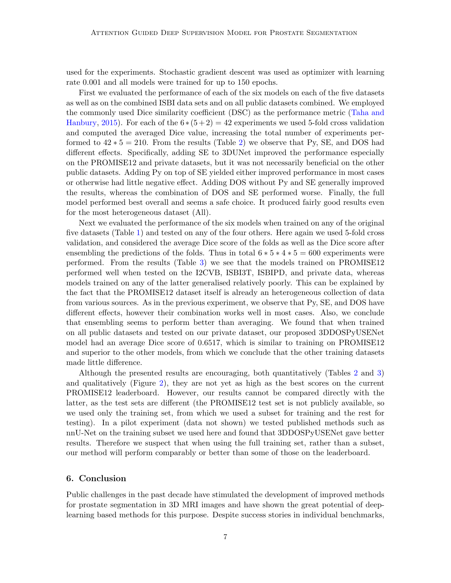used for the experiments. Stochastic gradient descent was used as optimizer with learning rate 0.001 and all models were trained for up to 150 epochs.

First we evaluated the performance of each of the six models on each of the five datasets as well as on the combined ISBI data sets and on all public datasets combined. We employed the commonly used Dice similarity coefficient (DSC) as the performance metric [\(Taha and](#page-10-12) [Hanbury,](#page-10-12) [2015\)](#page-10-12). For each of the  $6*(5+2) = 42$  experiments we used 5-fold cross validation and computed the averaged Dice value, increasing the total number of experiments performed to  $42 * 5 = 210$ . From the results (Table [2\)](#page-4-0) we observe that Py, SE, and DOS had different effects. Specifically, adding SE to 3DUNet improved the performance especially on the PROMISE12 and private datasets, but it was not necessarily beneficial on the other public datasets. Adding Py on top of SE yielded either improved performance in most cases or otherwise had little negative effect. Adding DOS without Py and SE generally improved the results, whereas the combination of DOS and SE performed worse. Finally, the full model performed best overall and seems a safe choice. It produced fairly good results even for the most heterogeneous dataset (All).

Next we evaluated the performance of the six models when trained on any of the original five datasets (Table [1\)](#page-2-0) and tested on any of the four others. Here again we used 5-fold cross validation, and considered the average Dice score of the folds as well as the Dice score after ensembling the predictions of the folds. Thus in total  $6 * 5 * 4 * 5 = 600$  experiments were performed. From the results (Table [3\)](#page-5-0) we see that the models trained on PROMISE12 performed well when tested on the I2CVB, ISBI3T, ISBIPD, and private data, whereas models trained on any of the latter generalised relatively poorly. This can be explained by the fact that the PROMISE12 dataset itself is already an heterogeneous collection of data from various sources. As in the previous experiment, we observe that Py, SE, and DOS have different effects, however their combination works well in most cases. Also, we conclude that ensembling seems to perform better than averaging. We found that when trained on all public datasets and tested on our private dataset, our proposed 3DDOSPyUSENet model had an average Dice score of 0.6517, which is similar to training on PROMISE12 and superior to the other models, from which we conclude that the other training datasets made little difference.

Although the presented results are encouraging, both quantitatively (Tables [2](#page-4-0) and [3\)](#page-5-0) and qualitatively (Figure [2\)](#page-7-0), they are not yet as high as the best scores on the current PROMISE12 leaderboard. However, our results cannot be compared directly with the latter, as the test sets are different (the PROMISE12 test set is not publicly available, so we used only the training set, from which we used a subset for training and the rest for testing). In a pilot experiment (data not shown) we tested published methods such as nnU-Net on the training subset we used here and found that 3DDOSPyUSENet gave better results. Therefore we suspect that when using the full training set, rather than a subset, our method will perform comparably or better than some of those on the leaderboard.

# 6. Conclusion

Public challenges in the past decade have stimulated the development of improved methods for prostate segmentation in 3D MRI images and have shown the great potential of deeplearning based methods for this purpose. Despite success stories in individual benchmarks,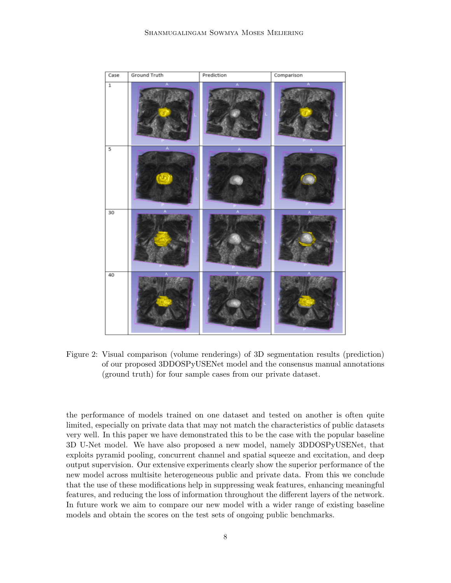

<span id="page-7-0"></span>Figure 2: Visual comparison (volume renderings) of 3D segmentation results (prediction) of our proposed 3DDOSPyUSENet model and the consensus manual annotations (ground truth) for four sample cases from our private dataset.

the performance of models trained on one dataset and tested on another is often quite limited, especially on private data that may not match the characteristics of public datasets very well. In this paper we have demonstrated this to be the case with the popular baseline 3D U-Net model. We have also proposed a new model, namely 3DDOSPyUSENet, that exploits pyramid pooling, concurrent channel and spatial squeeze and excitation, and deep output supervision. Our extensive experiments clearly show the superior performance of the new model across multisite heterogeneous public and private data. From this we conclude that the use of these modifications help in suppressing weak features, enhancing meaningful features, and reducing the loss of information throughout the different layers of the network. In future work we aim to compare our new model with a wider range of existing baseline models and obtain the scores on the test sets of ongoing public benchmarks.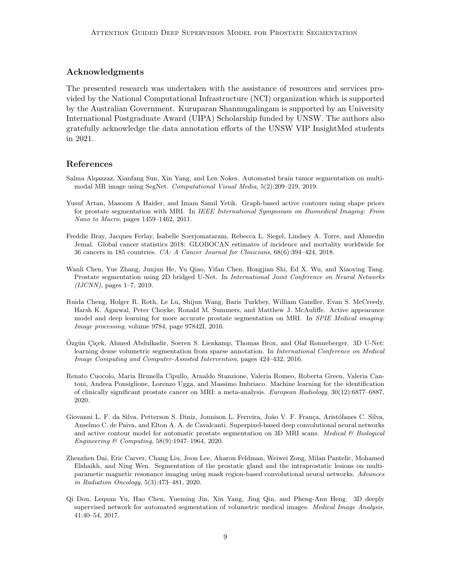## Acknowledgments

The presented research was undertaken with the assistance of resources and services provided by the National Computational Infrastructure (NCI) organization which is supported by the Australian Government. Kuruparan Shanmugalingam is supported by an University International Postgraduate Award (UIPA) Scholarship funded by UNSW. The authors also gratefully acknowledge the data annotation efforts of the UNSW VIP InsightMed students in 2021.

## References

- <span id="page-8-5"></span>Salma Alqazzaz, Xianfang Sun, Xin Yang, and Len Nokes. Automated brain tumor segmentation on multimodal MR image using SegNet. Computational Visual Media, 5(2):209–219, 2019.
- <span id="page-8-3"></span>Yusuf Artan, Masoom A Haider, and Imam Samil Yetik. Graph-based active contours using shape priors for prostate segmentation with MRI. In IEEE International Symposium on Biomedical Imaging: From Nano to Macro, pages 1459–1462, 2011.
- <span id="page-8-0"></span>Freddie Bray, Jacques Ferlay, Isabelle Soerjomataram, Rebecca L. Siegel, Lindsey A. Torre, and Ahmedin Jemal. Global cancer statistics 2018: GLOBOCAN estimates of incidence and mortality worldwide for 36 cancers in 185 countries. CA: A Cancer Journal for Clinicians, 68(6):394–424, 2018.
- <span id="page-8-8"></span>Wanli Chen, Yue Zhang, Junjun He, Yu Qiao, Yifan Chen, Hongjian Shi, Ed X. Wu, and Xiaoying Tang. Prostate segmentation using 2D bridged U-Net. In International Joint Conference on Neural Networks  $(IJCNN)$ , pages 1–7, 2019.
- <span id="page-8-2"></span>Ruida Cheng, Holger R. Roth, Le Lu, Shijun Wang, Baris Turkbey, William Gandler, Evan S. McCreedy, Harsh K. Agarwal, Peter Choyke, Ronald M. Summers, and Matthew J. McAuliffe. Active appearance model and deep learning for more accurate prostate segmentation on MRI. In *SPIE Medical imaging:* Image processing, volume 9784, page 97842I, 2016.
- <span id="page-8-7"></span>Özgün Çiçek, Ahmed Abdulkadir, Soeren S. Lienkamp, Thomas Brox, and Olaf Ronneberger. 3D U-Net: learning dense volumetric segmentation from sparse annotation. In International Conference on Medical Image Computing and Computer-Assisted Intervention, pages 424–432, 2016.
- <span id="page-8-1"></span>Renato Cuocolo, Maria Brunella Cipullo, Arnaldo Stanzione, Valeria Romeo, Roberta Green, Valeria Cantoni, Andrea Ponsiglione, Lorenzo Ugga, and Massimo Imbriaco. Machine learning for the identification of clinically significant prostate cancer on MRI: a meta-analysis. European Radiology, 30(12):6877–6887, 2020.
- <span id="page-8-6"></span>Giovanni L. F. da Silva, Petterson S. Diniz, Jonnison L. Ferreira, João V. F. França, Aristófanes C. Silva, Anselmo C. de Paiva, and Elton A. A. de Cavalcanti. Superpixel-based deep convolutional neural networks and active contour model for automatic prostate segmentation on 3D MRI scans. Medical  $\mathcal B$  Biological Engineering & Computing, 58(9):1947–1964, 2020.
- <span id="page-8-4"></span>Zhenzhen Dai, Eric Carver, Chang Liu, Joon Lee, Aharon Feldman, Weiwei Zong, Milan Pantelic, Mohamed Elshaikh, and Ning Wen. Segmentation of the prostatic gland and the intraprostatic lesions on multiparametic magnetic resonance imaging using mask region-based convolutional neural networks. Advances in Radiation Oncology, 5(3):473–481, 2020.
- <span id="page-8-9"></span>Qi Dou, Lequan Yu, Hao Chen, Yueming Jin, Xin Yang, Jing Qin, and Pheng-Ann Heng. 3D deeply supervised network for automated segmentation of volumetric medical images. Medical Image Analysis, 41:40–54, 2017.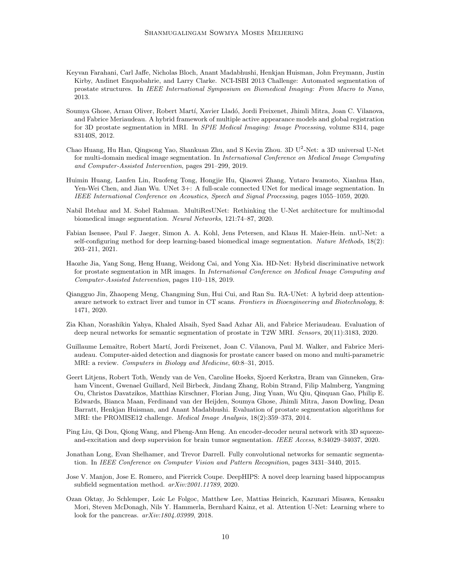- <span id="page-9-2"></span>Keyvan Farahani, Carl Jaffe, Nicholas Bloch, Anant Madabhushi, Henkjan Huisman, John Freymann, Justin Kirby, Andinet Enquobahrie, and Larry Clarke. NCI-ISBI 2013 Challenge: Automated segmentation of prostate structures. In IEEE International Symposium on Biomedical Imaging: From Macro to Nano, 2013.
- <span id="page-9-4"></span>Soumya Ghose, Arnau Oliver, Robert Mart´ı, Xavier Llad´o, Jordi Freixenet, Jhimli Mitra, Joan C. Vilanova, and Fabrice Meriaudeau. A hybrid framework of multiple active appearance models and global registration for 3D prostate segmentation in MRI. In SPIE Medical Imaging: Image Processing, volume 8314, page 83140S, 2012.
- <span id="page-9-8"></span>Chao Huang, Hu Han, Qingsong Yao, Shankuan Zhu, and S Kevin Zhou. 3D U<sup>2</sup>-Net: a 3D universal U-Net for multi-domain medical image segmentation. In International Conference on Medical Image Computing and Computer-Assisted Intervention, pages 291–299, 2019.
- <span id="page-9-9"></span>Huimin Huang, Lanfen Lin, Ruofeng Tong, Hongjie Hu, Qiaowei Zhang, Yutaro Iwamoto, Xianhua Han, Yen-Wei Chen, and Jian Wu. UNet  $3+$ : A full-scale connected UNet for medical image segmentation. In IEEE International Conference on Acoustics, Speech and Signal Processing, pages 1055–1059, 2020.
- <span id="page-9-12"></span>Nabil Ibtehaz and M. Sohel Rahman. MultiResUNet: Rethinking the U-Net architecture for multimodal biomedical image segmentation. Neural Networks, 121:74–87, 2020.
- <span id="page-9-3"></span>Fabian Isensee, Paul F. Jaeger, Simon A. A. Kohl, Jens Petersen, and Klaus H. Maier-Hein. nnU-Net: a self-configuring method for deep learning-based biomedical image segmentation. Nature Methods, 18(2): 203–211, 2021.
- <span id="page-9-11"></span>Haozhe Jia, Yang Song, Heng Huang, Weidong Cai, and Yong Xia. HD-Net: Hybrid discriminative network for prostate segmentation in MR images. In International Conference on Medical Image Computing and Computer-Assisted Intervention, pages 110–118, 2019.
- <span id="page-9-7"></span>Qiangguo Jin, Zhaopeng Meng, Changming Sun, Hui Cui, and Ran Su. RA-UNet: A hybrid deep attentionaware network to extract liver and tumor in CT scans. Frontiers in Bioengineering and Biotechnology, 8: 1471, 2020.
- <span id="page-9-6"></span>Zia Khan, Norashikin Yahya, Khaled Alsaih, Syed Saad Azhar Ali, and Fabrice Meriaudeau. Evaluation of deep neural networks for semantic segmentation of prostate in T2W MRI. Sensors, 20(11):3183, 2020.
- <span id="page-9-1"></span>Guillaume Lemaître, Robert Martí, Jordi Freixenet, Joan C. Vilanova, Paul M. Walker, and Fabrice Meriaudeau. Computer-aided detection and diagnosis for prostate cancer based on mono and multi-parametric MRI: a review. Computers in Biology and Medicine, 60:8–31, 2015.
- <span id="page-9-0"></span>Geert Litjens, Robert Toth, Wendy van de Ven, Caroline Hoeks, Sjoerd Kerkstra, Bram van Ginneken, Graham Vincent, Gwenael Guillard, Neil Birbeck, Jindang Zhang, Robin Strand, Filip Malmberg, Yangming Ou, Christos Davatzikos, Matthias Kirschner, Florian Jung, Jing Yuan, Wu Qiu, Qinquan Gao, Philip E. Edwards, Bianca Maan, Ferdinand van der Heijden, Soumya Ghose, Jhimli Mitra, Jason Dowling, Dean Barratt, Henkjan Huisman, and Anant Madabhushi. Evaluation of prostate segmentation algorithms for MRI: the PROMISE12 challenge. Medical Image Analysis, 18(2):359–373, 2014.
- <span id="page-9-14"></span>Ping Liu, Qi Dou, Qiong Wang, and Pheng-Ann Heng. An encoder-decoder neural network with 3D squeezeand-excitation and deep supervision for brain tumor segmentation. IEEE Access, 8:34029–34037, 2020.
- <span id="page-9-5"></span>Jonathan Long, Evan Shelhamer, and Trevor Darrell. Fully convolutional networks for semantic segmentation. In IEEE Conference on Computer Vision and Pattern Recognition, pages 3431–3440, 2015.
- <span id="page-9-13"></span>Jose V. Manjon, Jose E. Romero, and Pierrick Coupe. DeepHIPS: A novel deep learning based hippocampus subfield segmentation method. arXiv:2001.11789, 2020.
- <span id="page-9-10"></span>Ozan Oktay, Jo Schlemper, Loic Le Folgoc, Matthew Lee, Mattias Heinrich, Kazunari Misawa, Kensaku Mori, Steven McDonagh, Nils Y. Hammerla, Bernhard Kainz, et al. Attention U-Net: Learning where to look for the pancreas. arXiv:1804.03999, 2018.